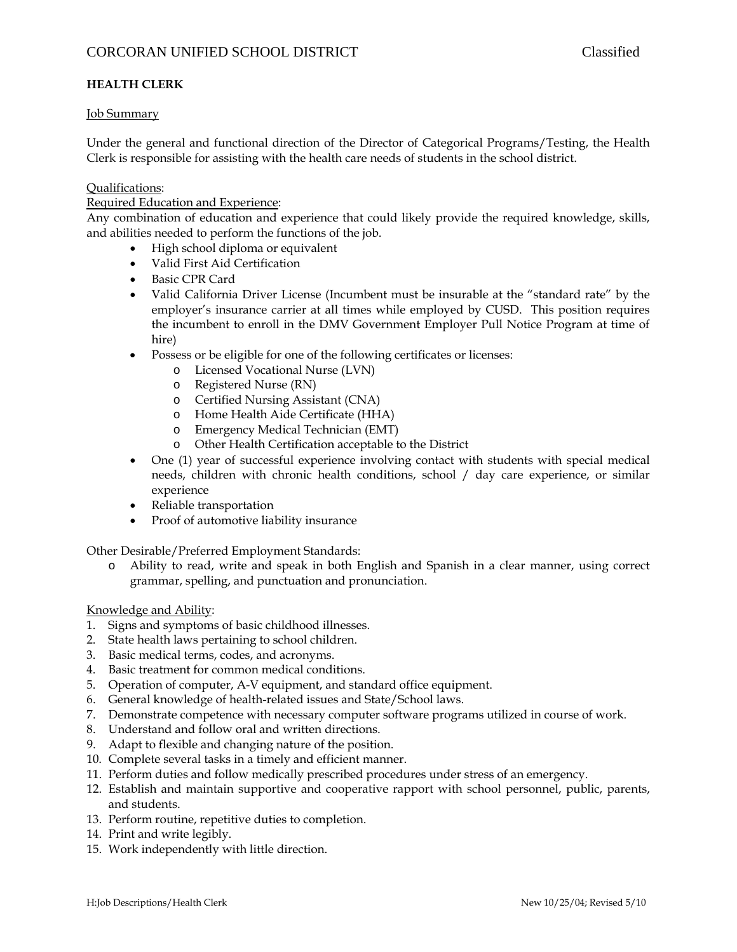# **HEALTH CLERK**

## Job Summary

Under the general and functional direction of the Director of Categorical Programs/Testing, the Health Clerk is responsible for assisting with the health care needs of students in the school district.

## Qualifications:

## Required Education and Experience:

Any combination of education and experience that could likely provide the required knowledge, skills, and abilities needed to perform the functions of the job.

- High school diploma or equivalent
- Valid First Aid Certification
- Basic CPR Card
- Valid California Driver License (Incumbent must be insurable at the "standard rate" by the employer's insurance carrier at all times while employed by CUSD. This position requires the incumbent to enroll in the DMV Government Employer Pull Notice Program at time of hire)
- Possess or be eligible for one of the following certificates or licenses:
	- o Licensed Vocational Nurse (LVN)
	- o Registered Nurse (RN)
	- o Certified Nursing Assistant (CNA)
	- o Home Health Aide Certificate (HHA)
	- o Emergency Medical Technician (EMT)
	- o Other Health Certification acceptable to the District
- One (1) year of successful experience involving contact with students with special medical needs, children with chronic health conditions, school / day care experience, or similar experience
- Reliable transportation
- Proof of automotive liability insurance

Other Desirable/Preferred Employment Standards:

o Ability to read, write and speak in both English and Spanish in a clear manner, using correct grammar, spelling, and punctuation and pronunciation.

#### Knowledge and Ability:

- 1. Signs and symptoms of basic childhood illnesses.
- 2. State health laws pertaining to school children.
- 3. Basic medical terms, codes, and acronyms.
- 4. Basic treatment for common medical conditions.
- 5. Operation of computer, A-V equipment, and standard office equipment.
- 6. General knowledge of health-related issues and State/School laws.
- 7. Demonstrate competence with necessary computer software programs utilized in course of work.
- 8. Understand and follow oral and written directions.
- 9. Adapt to flexible and changing nature of the position.
- 10. Complete several tasks in a timely and efficient manner.
- 11. Perform duties and follow medically prescribed procedures under stress of an emergency.
- 12. Establish and maintain supportive and cooperative rapport with school personnel, public, parents, and students.
- 13. Perform routine, repetitive duties to completion.
- 14. Print and write legibly.
- 15. Work independently with little direction.